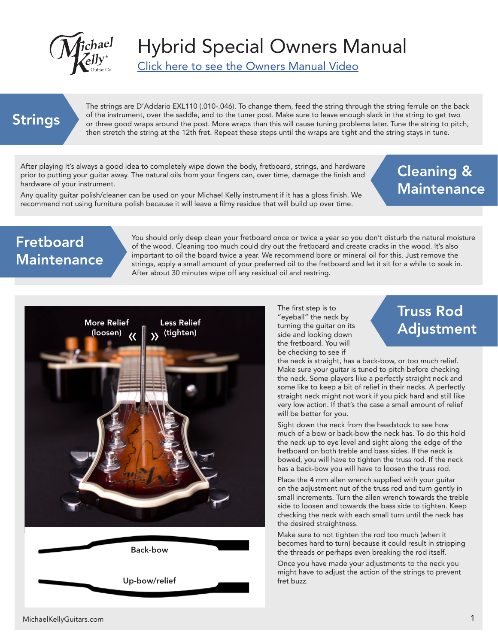

Click here to see the Owners Manual Video

#### Strings

The strings are D'Addario EXL110 (.010-.046). To change them, feed the string through the string ferrule on the back of the instrument, over the saddle, and to the tuner post. Make sure to leave enough slack in the string to get two or three good wraps around the post. More wraps than this will cause tuning problems later. Tune the string to pitch, then stretch the string at the 12th fret. Repeat these steps until the wraps are tight and the string stays in tune.

After playing It's always a good idea to completely wipe down the body, fretboard, strings, and hardware prior to putting your guitar away. The natural oils from your fingers can, over time, damage the finish and hardware of your instrument.

Any quality guitar polish/cleaner can be used on your Michael Kelly instrument if it has a gloss finish. We recommend not using furniture polish because it will leave a filmy residue that will build up over time.

#### Cleaning & **Maintenance**

#### Fretboard **Maintenance**

You should only deep clean your fretboard once or twice a year so you don't disturb the natural moisture of the wood. Cleaning too much could dry out the fretboard and create cracks in the wood. It's also important to oil the board twice a year. We recommend bore or mineral oil for this. Just remove the strings, apply a small amount of your preferred oil to the fretboard and let it sit for a while to soak in. After about 30 minutes wipe off any residual oil and restring.



Back-bow Up-bow/relief The first step is to "eyeball" the neck by turning the guitar on its side and looking down the fretboard. You will be checking to see if

# Truss Rod

the neck is straight, has a back-bow, or too much relief. Make sure your guitar is tuned to pitch before checking the neck. Some players like a perfectly straight neck and some like to keep a bit of relief in their necks. A perfectly straight neck might not work if you pick hard and still like very low action. If that's the case a small amount of relief will be better for you.

Sight down the neck from the headstock to see how much of a bow or back-bow the neck has. To do this hold the neck up to eye level and sight along the edge of the fretboard on both treble and bass sides. If the neck is bowed, you will have to tighten the truss rod. If the neck has a back-bow you will have to loosen the truss rod.

Place the 4 mm allen wrench supplied with your guitar on the adjustment nut of the truss rod and turn gently in small increments. Turn the allen wrench towards the treble side to loosen and towards the bass side to tighten. Keep checking the neck with each small turn until the neck has the desired straightness.

Make sure to not tighten the rod too much (when it becomes hard to turn) because it could result in stripping the threads or perhaps even breaking the rod itself.

Once you have made your adjustments to the neck you might have to adjust the action of the strings to prevent fret buzz.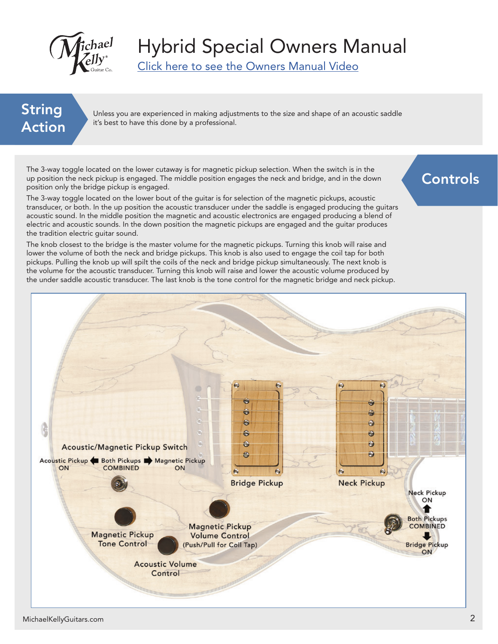

Click here to see the Owners Manual Video

#### String Action

Unless you are experienced in making adjustments to the size and shape of an acoustic saddle it's best to have this done by a professional.

The 3-way toggle located on the lower cutaway is for magnetic pickup selection. When the switch is in the up position the neck pickup is engaged. The middle position engages the neck and bridge, and in the down position only the bridge pickup is engaged.

The 3-way toggle located on the lower bout of the guitar is for selection of the magnetic pickups, acoustic transducer, or both. In the up position the acoustic transducer under the saddle is engaged producing the guitars acoustic sound. In the middle position the magnetic and acoustic electronics are engaged producing a blend of electric and acoustic sounds. In the down position the magnetic pickups are engaged and the guitar produces the tradition electric guitar sound.

The knob closest to the bridge is the master volume for the magnetic pickups. Turning this knob will raise and lower the volume of both the neck and bridge pickups. This knob is also used to engage the coil tap for both pickups. Pulling the knob up will spilt the coils of the neck and bridge pickup simultaneously. The next knob is the volume for the acoustic transducer. Turning this knob will raise and lower the acoustic volume produced by the under saddle acoustic transducer. The last knob is the tone control for the magnetic bridge and neck pickup.



#### Controls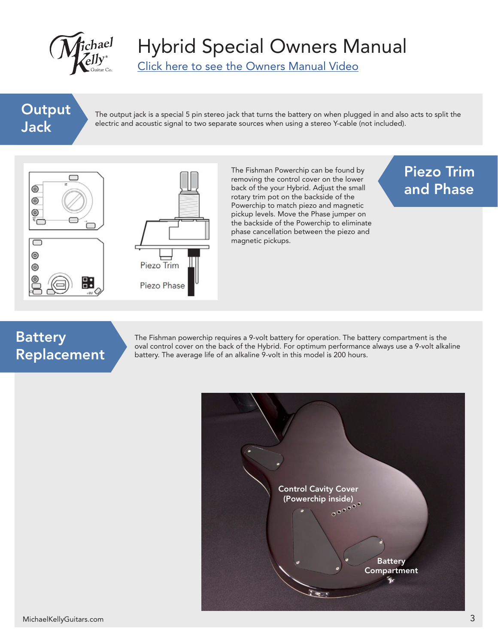

Click here to see the Owners Manual Video

#### **Output** Jack

The output jack is a special 5 pin stereo jack that turns the battery on when plugged in and also acts to split the electric and acoustic signal to two separate sources when using a stereo Y-cable (not included).



The Fishman Powerchip can be found by removing the control cover on the lower back of the your Hybrid. Adjust the small rotary trim pot on the backside of the Powerchip to match piezo and magnetic pickup levels. Move the Phase jumper on the backside of the Powerchip to eliminate phase cancellation between the piezo and magnetic pickups.

#### Piezo Trim and Phase

#### Battery Replacement

The Fishman powerchip requires a 9-volt battery for operation. The battery compartment is the oval control cover on the back of the Hybrid. For optimum performance always use a 9-volt alkaline battery. The average life of an alkaline 9-volt in this model is 200 hours.